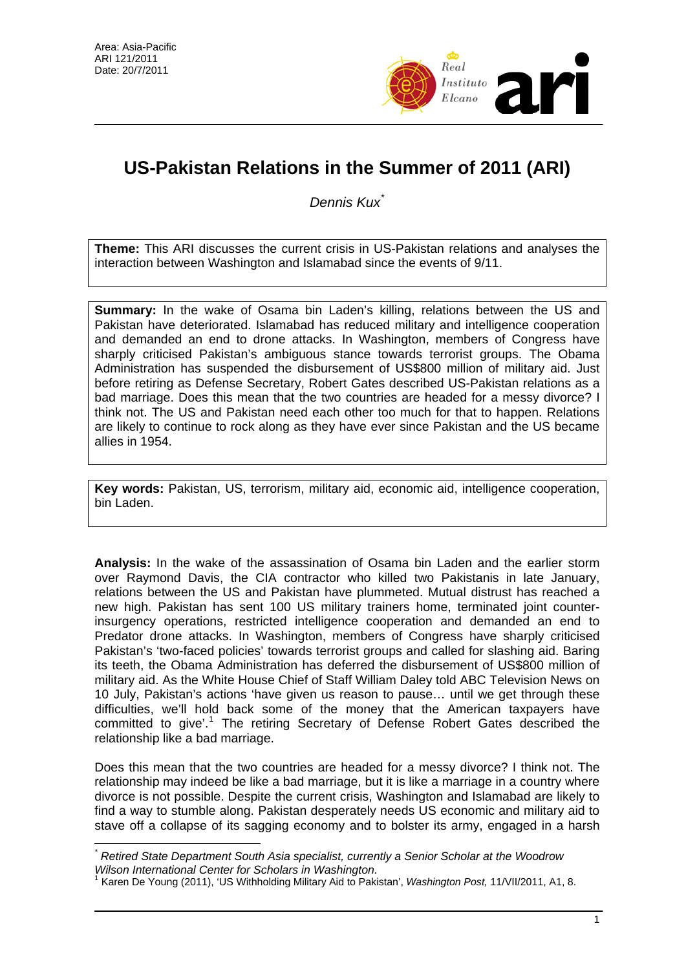

# **US-Pakistan Relations in the Summer of 2011 (ARI)**

*Dennis Kux*[\\*](#page-0-0)

**Theme:** This ARI discusses the current crisis in US-Pakistan relations and analyses the interaction between Washington and Islamabad since the events of 9/11.

**Summary:** In the wake of Osama bin Laden's killing, relations between the US and Pakistan have deteriorated. Islamabad has reduced military and intelligence cooperation and demanded an end to drone attacks. In Washington, members of Congress have sharply criticised Pakistan's ambiguous stance towards terrorist groups. The Obama Administration has suspended the disbursement of US\$800 million of military aid. Just before retiring as Defense Secretary, Robert Gates described US-Pakistan relations as a bad marriage. Does this mean that the two countries are headed for a messy divorce? I think not. The US and Pakistan need each other too much for that to happen. Relations are likely to continue to rock along as they have ever since Pakistan and the US became allies in 1954.

**Key words:** Pakistan, US, terrorism, military aid, economic aid, intelligence cooperation, bin Laden.

**Analysis:** In the wake of the assassination of Osama bin Laden and the earlier storm over Raymond Davis, the CIA contractor who killed two Pakistanis in late January, relations between the US and Pakistan have plummeted. Mutual distrust has reached a new high. Pakistan has sent 100 US military trainers home, terminated joint counterinsurgency operations, restricted intelligence cooperation and demanded an end to Predator drone attacks. In Washington, members of Congress have sharply criticised Pakistan's 'two-faced policies' towards terrorist groups and called for slashing aid. Baring its teeth, the Obama Administration has deferred the disbursement of US\$800 million of military aid. As the White House Chief of Staff William Daley told ABC Television News on 10 July, Pakistan's actions 'have given us reason to pause… until we get through these difficulties, we'll hold back some of the money that the American taxpayers have committed to give'.<sup>[1](#page-0-1)</sup> The retiring Secretary of Defense Robert Gates described the relationship like a bad marriage.

Does this mean that the two countries are headed for a messy divorce? I think not. The relationship may indeed be like a bad marriage, but it is like a marriage in a country where divorce is not possible. Despite the current crisis, Washington and Islamabad are likely to find a way to stumble along. Pakistan desperately needs US economic and military aid to stave off a collapse of its sagging economy and to bolster its army, engaged in a harsh

<span id="page-0-0"></span> $\overline{a}$ *\* Retired State Department South Asia specialist, currently a Senior Scholar at the Woodrow Wilson International Center for Scholars in Washington.* 

<span id="page-0-1"></span><sup>1</sup> Karen De Young (2011), 'US Withholding Military Aid to Pakistan', *Washington Post,* 11/VII/2011, A1, 8.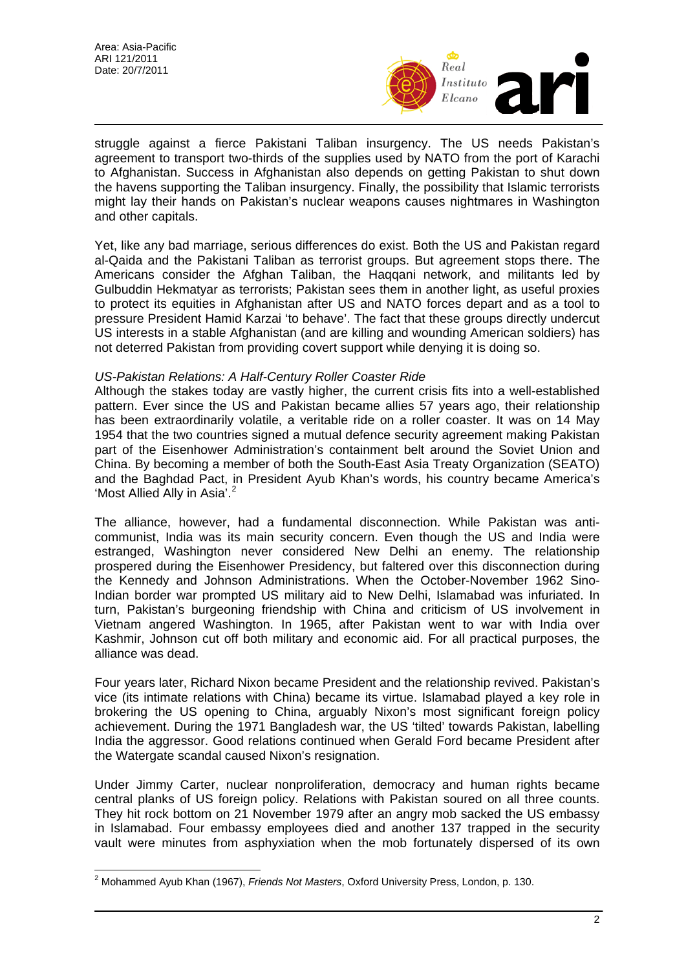

struggle against a fierce Pakistani Taliban insurgency. The US needs Pakistan's agreement to transport two-thirds of the supplies used by NATO from the port of Karachi to Afghanistan. Success in Afghanistan also depends on getting Pakistan to shut down the havens supporting the Taliban insurgency. Finally, the possibility that Islamic terrorists might lay their hands on Pakistan's nuclear weapons causes nightmares in Washington and other capitals.

Yet, like any bad marriage, serious differences do exist. Both the US and Pakistan regard al-Qaida and the Pakistani Taliban as terrorist groups. But agreement stops there. The Americans consider the Afghan Taliban, the Haqqani network, and militants led by Gulbuddin Hekmatyar as terrorists; Pakistan sees them in another light, as useful proxies to protect its equities in Afghanistan after US and NATO forces depart and as a tool to pressure President Hamid Karzai 'to behave'. The fact that these groups directly undercut US interests in a stable Afghanistan (and are killing and wounding American soldiers) has not deterred Pakistan from providing covert support while denying it is doing so.

### *US-Pakistan Relations: A Half-Century Roller Coaster Ride*

Although the stakes today are vastly higher, the current crisis fits into a well-established pattern. Ever since the US and Pakistan became allies 57 years ago, their relationship has been extraordinarily volatile, a veritable ride on a roller coaster. It was on 14 May 1954 that the two countries signed a mutual defence security agreement making Pakistan part of the Eisenhower Administration's containment belt around the Soviet Union and China. By becoming a member of both the South-East Asia Treaty Organization (SEATO) and the Baghdad Pact, in President Ayub Khan's words, his country became America's 'Most Allied Ally in Asia'.<sup>[2](#page-1-0)</sup>

The alliance, however, had a fundamental disconnection. While Pakistan was anticommunist, India was its main security concern. Even though the US and India were estranged, Washington never considered New Delhi an enemy. The relationship prospered during the Eisenhower Presidency, but faltered over this disconnection during the Kennedy and Johnson Administrations. When the October-November 1962 Sino-Indian border war prompted US military aid to New Delhi, Islamabad was infuriated. In turn, Pakistan's burgeoning friendship with China and criticism of US involvement in Vietnam angered Washington. In 1965, after Pakistan went to war with India over Kashmir, Johnson cut off both military and economic aid. For all practical purposes, the alliance was dead.

Four years later, Richard Nixon became President and the relationship revived. Pakistan's vice (its intimate relations with China) became its virtue. Islamabad played a key role in brokering the US opening to China, arguably Nixon's most significant foreign policy achievement. During the 1971 Bangladesh war, the US 'tilted' towards Pakistan, labelling India the aggressor. Good relations continued when Gerald Ford became President after the Watergate scandal caused Nixon's resignation.

Under Jimmy Carter, nuclear nonproliferation, democracy and human rights became central planks of US foreign policy. Relations with Pakistan soured on all three counts. They hit rock bottom on 21 November 1979 after an angry mob sacked the US embassy in Islamabad. Four embassy employees died and another 137 trapped in the security vault were minutes from asphyxiation when the mob fortunately dispersed of its own

<span id="page-1-0"></span> $\overline{a}$ 2 Mohammed Ayub Khan (1967), *Friends Not Masters*, Oxford University Press, London, p. 130.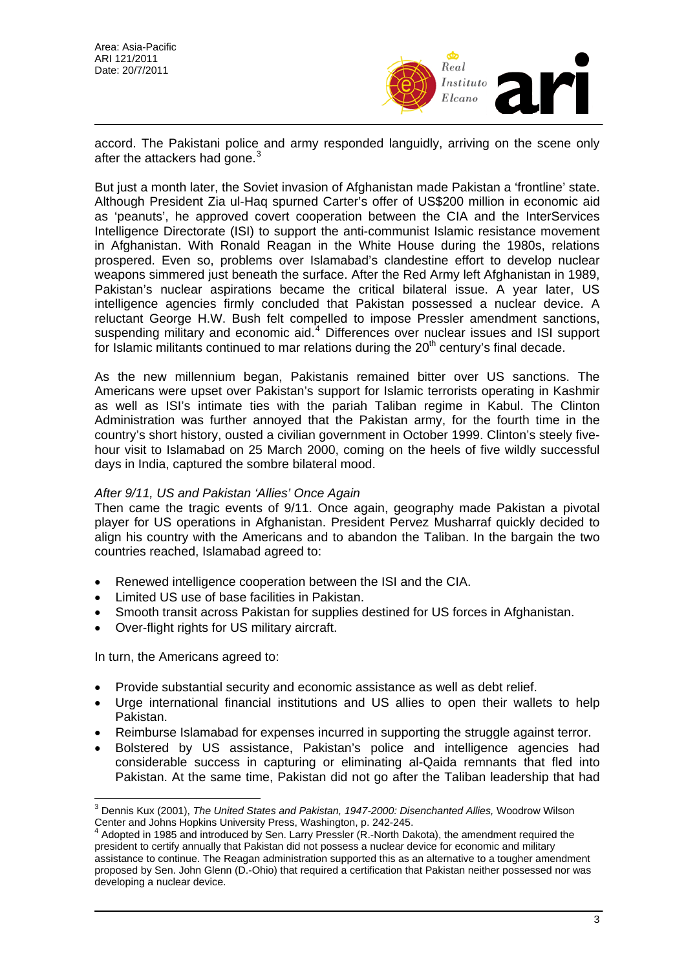

accord. The Pakistani police and army responded languidly, arriving on the scene only after the attackers had gone. $3$ 

But just a month later, the Soviet invasion of Afghanistan made Pakistan a 'frontline' state. Although President Zia ul-Haq spurned Carter's offer of US\$200 million in economic aid as 'peanuts', he approved covert cooperation between the CIA and the InterServices Intelligence Directorate (ISI) to support the anti-communist Islamic resistance movement in Afghanistan. With Ronald Reagan in the White House during the 1980s, relations prospered. Even so, problems over Islamabad's clandestine effort to develop nuclear weapons simmered just beneath the surface. After the Red Army left Afghanistan in 1989, Pakistan's nuclear aspirations became the critical bilateral issue. A year later, US intelligence agencies firmly concluded that Pakistan possessed a nuclear device. A reluctant George H.W. Bush felt compelled to impose Pressler amendment sanctions, suspending military and economic aid.<sup>[4](#page-2-1)</sup> Differences over nuclear issues and ISI support for Islamic militants continued to mar relations during the  $20<sup>th</sup>$  century's final decade.

As the new millennium began, Pakistanis remained bitter over US sanctions. The Americans were upset over Pakistan's support for Islamic terrorists operating in Kashmir as well as ISI's intimate ties with the pariah Taliban regime in Kabul. The Clinton Administration was further annoyed that the Pakistan army, for the fourth time in the country's short history, ousted a civilian government in October 1999. Clinton's steely fivehour visit to Islamabad on 25 March 2000, coming on the heels of five wildly successful days in India, captured the sombre bilateral mood.

# *After 9/11, US and Pakistan 'Allies' Once Again*

Then came the tragic events of 9/11. Once again, geography made Pakistan a pivotal player for US operations in Afghanistan. President Pervez Musharraf quickly decided to align his country with the Americans and to abandon the Taliban. In the bargain the two countries reached, Islamabad agreed to:

- Renewed intelligence cooperation between the ISI and the CIA.
- Limited US use of base facilities in Pakistan.
- Smooth transit across Pakistan for supplies destined for US forces in Afghanistan.
- Over-flight rights for US military aircraft.

In turn, the Americans agreed to:

 $\overline{a}$ 

- Provide substantial security and economic assistance as well as debt relief.
- Urge international financial institutions and US allies to open their wallets to help Pakistan.
- Reimburse Islamabad for expenses incurred in supporting the struggle against terror.
- Bolstered by US assistance, Pakistan's police and intelligence agencies had considerable success in capturing or eliminating al-Qaida remnants that fled into Pakistan. At the same time, Pakistan did not go after the Taliban leadership that had

<span id="page-2-0"></span><sup>3</sup> Dennis Kux (2001), *The United States and Pakistan, 1947-2000: Disenchanted Allies,* Woodrow Wilson Center and Johns Hopkins University Press, Washington, p. 242-245. 4

<span id="page-2-1"></span>Adopted in 1985 and introduced by Sen. Larry Pressler (R.-North Dakota), the amendment required the president to certify annually that Pakistan did not possess a nuclear device for economic and military assistance to continue. The Reagan administration supported this as an alternative to a tougher amendment proposed by Sen. John Glenn (D.-Ohio) that required a certification that Pakistan neither possessed nor was developing a nuclear device.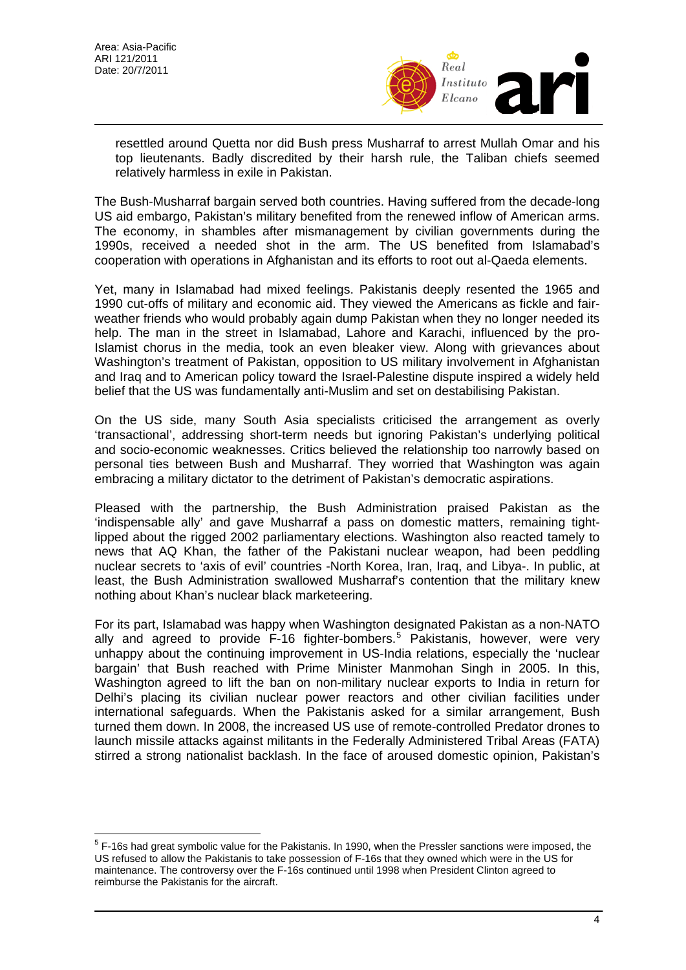$\overline{a}$ 



resettled around Quetta nor did Bush press Musharraf to arrest Mullah Omar and his top lieutenants. Badly discredited by their harsh rule, the Taliban chiefs seemed relatively harmless in exile in Pakistan.

The Bush-Musharraf bargain served both countries. Having suffered from the decade-long US aid embargo, Pakistan's military benefited from the renewed inflow of American arms. The economy, in shambles after mismanagement by civilian governments during the 1990s, received a needed shot in the arm. The US benefited from Islamabad's cooperation with operations in Afghanistan and its efforts to root out al-Qaeda elements.

Yet, many in Islamabad had mixed feelings. Pakistanis deeply resented the 1965 and 1990 cut-offs of military and economic aid. They viewed the Americans as fickle and fairweather friends who would probably again dump Pakistan when they no longer needed its help. The man in the street in Islamabad, Lahore and Karachi, influenced by the pro-Islamist chorus in the media, took an even bleaker view. Along with grievances about Washington's treatment of Pakistan, opposition to US military involvement in Afghanistan and Iraq and to American policy toward the Israel-Palestine dispute inspired a widely held belief that the US was fundamentally anti-Muslim and set on destabilising Pakistan.

On the US side, many South Asia specialists criticised the arrangement as overly 'transactional', addressing short-term needs but ignoring Pakistan's underlying political and socio-economic weaknesses. Critics believed the relationship too narrowly based on personal ties between Bush and Musharraf. They worried that Washington was again embracing a military dictator to the detriment of Pakistan's democratic aspirations.

Pleased with the partnership, the Bush Administration praised Pakistan as the 'indispensable ally' and gave Musharraf a pass on domestic matters, remaining tightlipped about the rigged 2002 parliamentary elections. Washington also reacted tamely to news that AQ Khan, the father of the Pakistani nuclear weapon, had been peddling nuclear secrets to 'axis of evil' countries -North Korea, Iran, Iraq, and Libya-. In public, at least, the Bush Administration swallowed Musharraf's contention that the military knew nothing about Khan's nuclear black marketeering.

For its part, Islamabad was happy when Washington designated Pakistan as a non-NATO ally and agreed to provide F-16 fighter-bombers.<sup>[5](#page-3-0)</sup> Pakistanis, however, were very unhappy about the continuing improvement in US-India relations, especially the 'nuclear bargain' that Bush reached with Prime Minister Manmohan Singh in 2005. In this, Washington agreed to lift the ban on non-military nuclear exports to India in return for Delhi's placing its civilian nuclear power reactors and other civilian facilities under international safeguards. When the Pakistanis asked for a similar arrangement, Bush turned them down. In 2008, the increased US use of remote-controlled Predator drones to launch missile attacks against militants in the Federally Administered Tribal Areas (FATA) stirred a strong nationalist backlash. In the face of aroused domestic opinion, Pakistan's

<span id="page-3-0"></span><sup>&</sup>lt;sup>5</sup> F-16s had great symbolic value for the Pakistanis. In 1990, when the Pressler sanctions were imposed, the US refused to allow the Pakistanis to take possession of F-16s that they owned which were in the US for maintenance. The controversy over the F-16s continued until 1998 when President Clinton agreed to reimburse the Pakistanis for the aircraft.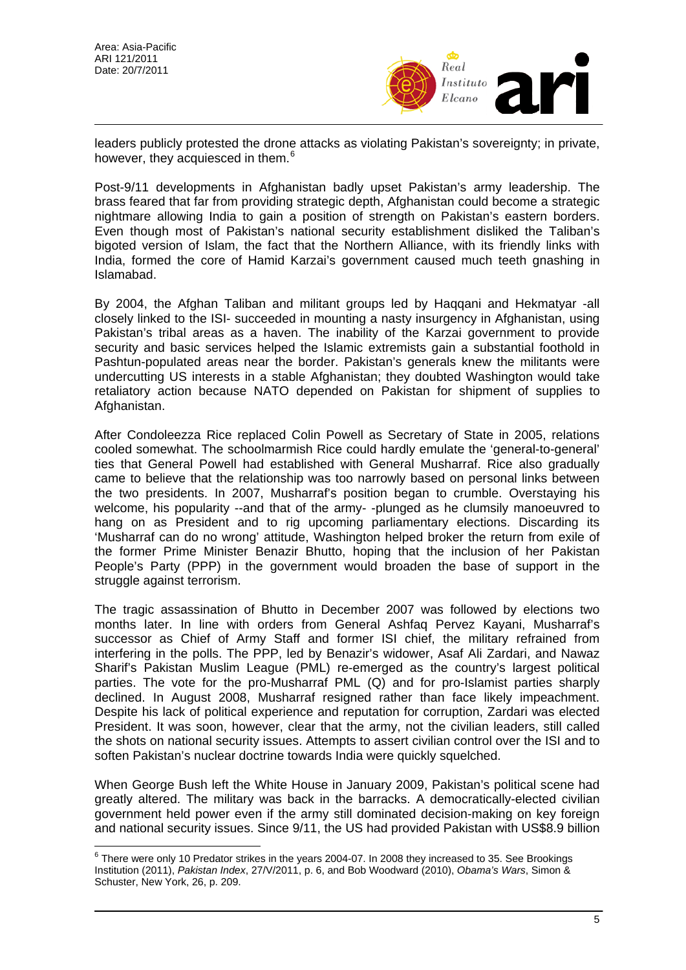

leaders publicly protested the drone attacks as violating Pakistan's sovereignty; in private, however, they acquiesced in them.<sup>[6](#page-4-0)</sup>

Post-9/11 developments in Afghanistan badly upset Pakistan's army leadership. The brass feared that far from providing strategic depth, Afghanistan could become a strategic nightmare allowing India to gain a position of strength on Pakistan's eastern borders. Even though most of Pakistan's national security establishment disliked the Taliban's bigoted version of Islam, the fact that the Northern Alliance, with its friendly links with India, formed the core of Hamid Karzai's government caused much teeth gnashing in Islamabad.

By 2004, the Afghan Taliban and militant groups led by Haqqani and Hekmatyar -all closely linked to the ISI- succeeded in mounting a nasty insurgency in Afghanistan, using Pakistan's tribal areas as a haven. The inability of the Karzai government to provide security and basic services helped the Islamic extremists gain a substantial foothold in Pashtun-populated areas near the border. Pakistan's generals knew the militants were undercutting US interests in a stable Afghanistan; they doubted Washington would take retaliatory action because NATO depended on Pakistan for shipment of supplies to Afghanistan.

After Condoleezza Rice replaced Colin Powell as Secretary of State in 2005, relations cooled somewhat. The schoolmarmish Rice could hardly emulate the 'general-to-general' ties that General Powell had established with General Musharraf. Rice also gradually came to believe that the relationship was too narrowly based on personal links between the two presidents. In 2007, Musharraf's position began to crumble. Overstaying his welcome, his popularity --and that of the army- -plunged as he clumsily manoeuvred to hang on as President and to rig upcoming parliamentary elections. Discarding its 'Musharraf can do no wrong' attitude, Washington helped broker the return from exile of the former Prime Minister Benazir Bhutto, hoping that the inclusion of her Pakistan People's Party (PPP) in the government would broaden the base of support in the struggle against terrorism.

The tragic assassination of Bhutto in December 2007 was followed by elections two months later. In line with orders from General Ashfaq Pervez Kayani, Musharraf's successor as Chief of Army Staff and former ISI chief, the military refrained from interfering in the polls. The PPP, led by Benazir's widower, Asaf Ali Zardari, and Nawaz Sharif's Pakistan Muslim League (PML) re-emerged as the country's largest political parties. The vote for the pro-Musharraf PML (Q) and for pro-Islamist parties sharply declined. In August 2008, Musharraf resigned rather than face likely impeachment. Despite his lack of political experience and reputation for corruption, Zardari was elected President. It was soon, however, clear that the army, not the civilian leaders, still called the shots on national security issues. Attempts to assert civilian control over the ISI and to soften Pakistan's nuclear doctrine towards India were quickly squelched.

When George Bush left the White House in January 2009, Pakistan's political scene had greatly altered. The military was back in the barracks. A democratically-elected civilian government held power even if the army still dominated decision-making on key foreign and national security issues. Since 9/11, the US had provided Pakistan with US\$8.9 billion

<span id="page-4-0"></span> 6 There were only 10 Predator strikes in the years 2004-07. In 2008 they increased to 35. See Brookings Institution (2011), *Pakistan Index*, 27/V/2011, p. 6, and Bob Woodward (2010), *Obama's Wars*, Simon & Schuster, New York, 26, p. 209.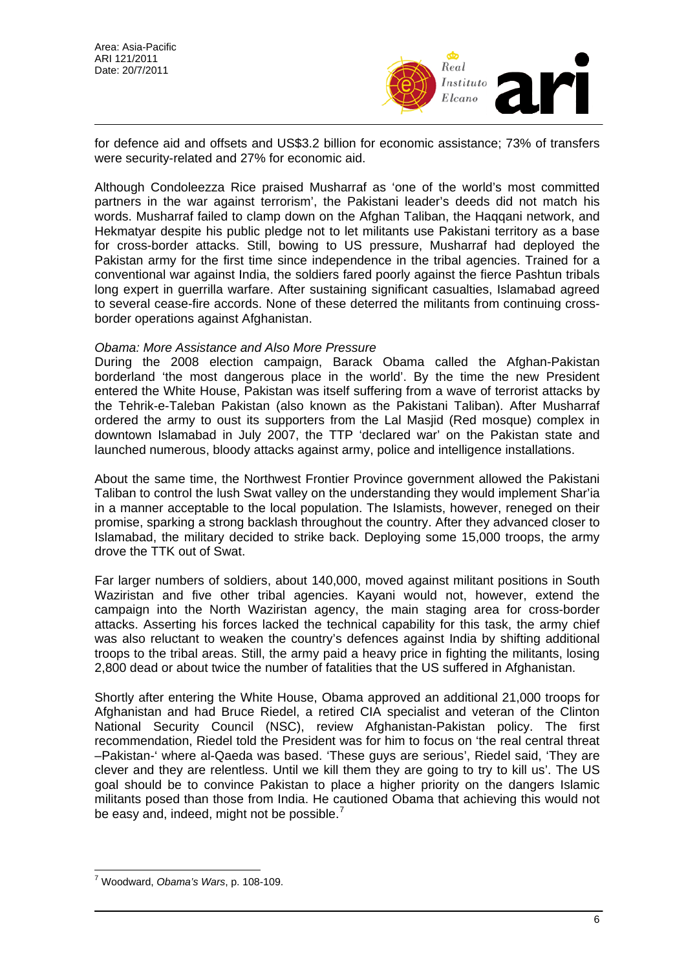

for defence aid and offsets and US\$3.2 billion for economic assistance; 73% of transfers were security-related and 27% for economic aid.

Although Condoleezza Rice praised Musharraf as 'one of the world's most committed partners in the war against terrorism', the Pakistani leader's deeds did not match his words. Musharraf failed to clamp down on the Afghan Taliban, the Haqqani network, and Hekmatyar despite his public pledge not to let militants use Pakistani territory as a base for cross-border attacks. Still, bowing to US pressure, Musharraf had deployed the Pakistan army for the first time since independence in the tribal agencies. Trained for a conventional war against India, the soldiers fared poorly against the fierce Pashtun tribals long expert in guerrilla warfare. After sustaining significant casualties, Islamabad agreed to several cease-fire accords. None of these deterred the militants from continuing crossborder operations against Afghanistan.

### *Obama: More Assistance and Also More Pressure*

During the 2008 election campaign, Barack Obama called the Afghan-Pakistan borderland 'the most dangerous place in the world'. By the time the new President entered the White House, Pakistan was itself suffering from a wave of terrorist attacks by the Tehrik-e-Taleban Pakistan (also known as the Pakistani Taliban). After Musharraf ordered the army to oust its supporters from the Lal Masjid (Red mosque) complex in downtown Islamabad in July 2007, the TTP 'declared war' on the Pakistan state and launched numerous, bloody attacks against army, police and intelligence installations.

About the same time, the Northwest Frontier Province government allowed the Pakistani Taliban to control the lush Swat valley on the understanding they would implement Shar'ia in a manner acceptable to the local population. The Islamists, however, reneged on their promise, sparking a strong backlash throughout the country. After they advanced closer to Islamabad, the military decided to strike back. Deploying some 15,000 troops, the army drove the TTK out of Swat.

Far larger numbers of soldiers, about 140,000, moved against militant positions in South Waziristan and five other tribal agencies. Kayani would not, however, extend the campaign into the North Waziristan agency, the main staging area for cross-border attacks. Asserting his forces lacked the technical capability for this task, the army chief was also reluctant to weaken the country's defences against India by shifting additional troops to the tribal areas. Still, the army paid a heavy price in fighting the militants, losing 2,800 dead or about twice the number of fatalities that the US suffered in Afghanistan.

Shortly after entering the White House, Obama approved an additional 21,000 troops for Afghanistan and had Bruce Riedel, a retired CIA specialist and veteran of the Clinton National Security Council (NSC), review Afghanistan-Pakistan policy. The first recommendation, Riedel told the President was for him to focus on 'the real central threat –Pakistan-' where al-Qaeda was based. 'These guys are serious', Riedel said, 'They are clever and they are relentless. Until we kill them they are going to try to kill us'. The US goal should be to convince Pakistan to place a higher priority on the dangers Islamic militants posed than those from India. He cautioned Obama that achieving this would not be easy and, indeed, might not be possible.<sup>[7](#page-5-0)</sup>

<span id="page-5-0"></span> $\overline{a}$ 7 Woodward, *Obama's Wars*, p. 108-109.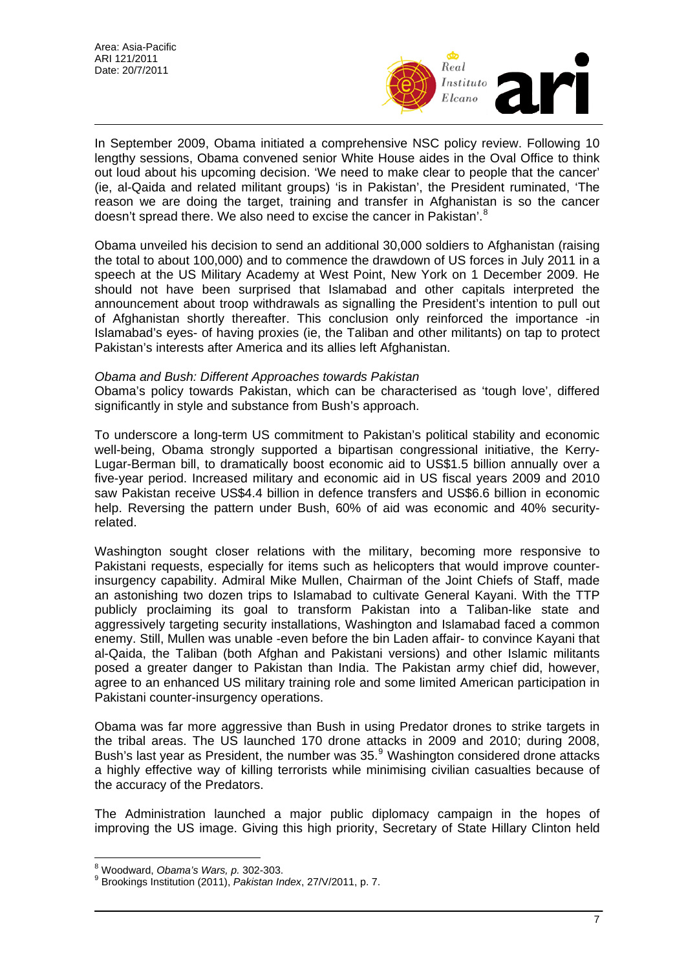

In September 2009, Obama initiated a comprehensive NSC policy review. Following 10 lengthy sessions, Obama convened senior White House aides in the Oval Office to think out loud about his upcoming decision. 'We need to make clear to people that the cancer' (ie, al-Qaida and related militant groups) 'is in Pakistan', the President ruminated, 'The reason we are doing the target, training and transfer in Afghanistan is so the cancer doesn't spread there. We also need to excise the cancer in Pakistan'.<sup>[8](#page-6-0)</sup>

Obama unveiled his decision to send an additional 30,000 soldiers to Afghanistan (raising the total to about 100,000) and to commence the drawdown of US forces in July 2011 in a speech at the US Military Academy at West Point, New York on 1 December 2009. He should not have been surprised that Islamabad and other capitals interpreted the announcement about troop withdrawals as signalling the President's intention to pull out of Afghanistan shortly thereafter. This conclusion only reinforced the importance -in Islamabad's eyes- of having proxies (ie, the Taliban and other militants) on tap to protect Pakistan's interests after America and its allies left Afghanistan.

### *Obama and Bush: Different Approaches towards Pakistan*

Obama's policy towards Pakistan, which can be characterised as 'tough love', differed significantly in style and substance from Bush's approach.

To underscore a long-term US commitment to Pakistan's political stability and economic well-being, Obama strongly supported a bipartisan congressional initiative, the Kerry-Lugar-Berman bill, to dramatically boost economic aid to US\$1.5 billion annually over a five-year period. Increased military and economic aid in US fiscal years 2009 and 2010 saw Pakistan receive US\$4.4 billion in defence transfers and US\$6.6 billion in economic help. Reversing the pattern under Bush, 60% of aid was economic and 40% securityrelated.

Washington sought closer relations with the military, becoming more responsive to Pakistani requests, especially for items such as helicopters that would improve counterinsurgency capability. Admiral Mike Mullen, Chairman of the Joint Chiefs of Staff, made an astonishing two dozen trips to Islamabad to cultivate General Kayani. With the TTP publicly proclaiming its goal to transform Pakistan into a Taliban-like state and aggressively targeting security installations, Washington and Islamabad faced a common enemy. Still, Mullen was unable -even before the bin Laden affair- to convince Kayani that al-Qaida, the Taliban (both Afghan and Pakistani versions) and other Islamic militants posed a greater danger to Pakistan than India. The Pakistan army chief did, however, agree to an enhanced US military training role and some limited American participation in Pakistani counter-insurgency operations.

Obama was far more aggressive than Bush in using Predator drones to strike targets in the tribal areas. The US launched 170 drone attacks in 2009 and 2010; during 2008, Bush's last year as President, the number was  $35.^9$  $35.^9$  Washington considered drone attacks a highly effective way of killing terrorists while minimising civilian casualties because of the accuracy of the Predators.

The Administration launched a major public diplomacy campaign in the hopes of improving the US image. Giving this high priority, Secretary of State Hillary Clinton held

<sup>&</sup>lt;sup>8</sup><br>Woodward, *Obama's Wars, p.* 302-303.<br><sup>9</sup> Prockings Institution (2011), *Rekist*on In

<span id="page-6-1"></span><span id="page-6-0"></span>Brookings Institution (2011), *Pakistan Index*, 27/V/2011, p. 7.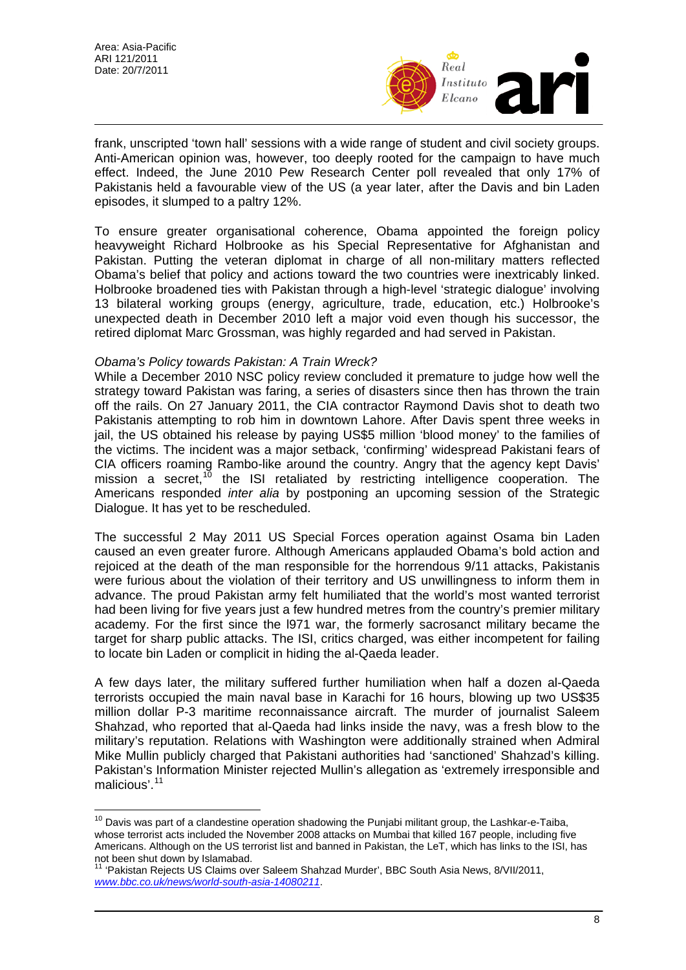$\overline{a}$ 



frank, unscripted 'town hall' sessions with a wide range of student and civil society groups. Anti-American opinion was, however, too deeply rooted for the campaign to have much effect. Indeed, the June 2010 Pew Research Center poll revealed that only 17% of Pakistanis held a favourable view of the US (a year later, after the Davis and bin Laden episodes, it slumped to a paltry 12%.

To ensure greater organisational coherence, Obama appointed the foreign policy heavyweight Richard Holbrooke as his Special Representative for Afghanistan and Pakistan. Putting the veteran diplomat in charge of all non-military matters reflected Obama's belief that policy and actions toward the two countries were inextricably linked. Holbrooke broadened ties with Pakistan through a high-level 'strategic dialogue' involving 13 bilateral working groups (energy, agriculture, trade, education, etc.) Holbrooke's unexpected death in December 2010 left a major void even though his successor, the retired diplomat Marc Grossman, was highly regarded and had served in Pakistan.

### *Obama's Policy towards Pakistan: A Train Wreck?*

While a December 2010 NSC policy review concluded it premature to judge how well the strategy toward Pakistan was faring, a series of disasters since then has thrown the train off the rails. On 27 January 2011, the CIA contractor Raymond Davis shot to death two Pakistanis attempting to rob him in downtown Lahore. After Davis spent three weeks in jail, the US obtained his release by paying US\$5 million 'blood money' to the families of the victims. The incident was a major setback, 'confirming' widespread Pakistani fears of CIA officers roaming Rambo-like around the country. Angry that the agency kept Davis' mission a secret,<sup>[10](#page-7-0)</sup> the ISI retaliated by restricting intelligence cooperation. The Americans responded *inter alia* by postponing an upcoming session of the Strategic Dialogue. It has yet to be rescheduled.

The successful 2 May 2011 US Special Forces operation against Osama bin Laden caused an even greater furore. Although Americans applauded Obama's bold action and rejoiced at the death of the man responsible for the horrendous 9/11 attacks, Pakistanis were furious about the violation of their territory and US unwillingness to inform them in advance. The proud Pakistan army felt humiliated that the world's most wanted terrorist had been living for five years just a few hundred metres from the country's premier military academy. For the first since the l971 war, the formerly sacrosanct military became the target for sharp public attacks. The ISI, critics charged, was either incompetent for failing to locate bin Laden or complicit in hiding the al-Qaeda leader.

A few days later, the military suffered further humiliation when half a dozen al-Qaeda terrorists occupied the main naval base in Karachi for 16 hours, blowing up two US\$35 million dollar P-3 maritime reconnaissance aircraft. The murder of journalist Saleem Shahzad, who reported that al-Qaeda had links inside the navy, was a fresh blow to the military's reputation. Relations with Washington were additionally strained when Admiral Mike Mullin publicly charged that Pakistani authorities had 'sanctioned' Shahzad's killing. Pakistan's Information Minister rejected Mullin's allegation as 'extremely irresponsible and malicious'.[11](#page-7-1)

<span id="page-7-0"></span> $10$  Davis was part of a clandestine operation shadowing the Punjabi militant group, the Lashkar-e-Taiba, whose terrorist acts included the November 2008 attacks on Mumbai that killed 167 people, including five Americans. Although on the US terrorist list and banned in Pakistan, the LeT, which has links to the ISI, has not been shut down by Islamabad.

<span id="page-7-1"></span><sup>&</sup>lt;sup>11</sup> 'Pakistan Rejects US Claims over Saleem Shahzad Murder', BBC South Asia News, 8/VII/2011, *<www.bbc.co.uk/news/world-south-asia-14080211>*.